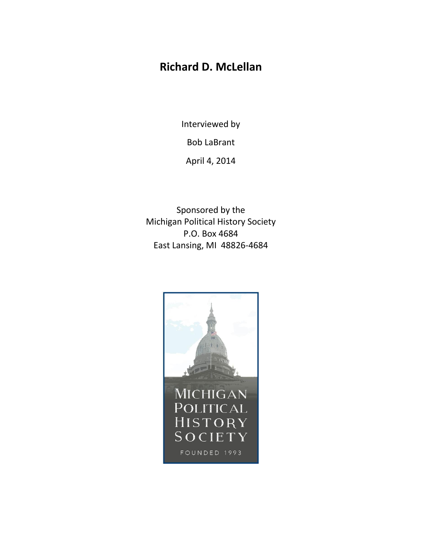# **Richard D. McLellan**

Interviewed by

Bob LaBrant

April 4, 2014

Sponsored by the Michigan Political History Society P.O. Box 4684 East Lansing, MI 48826-4684

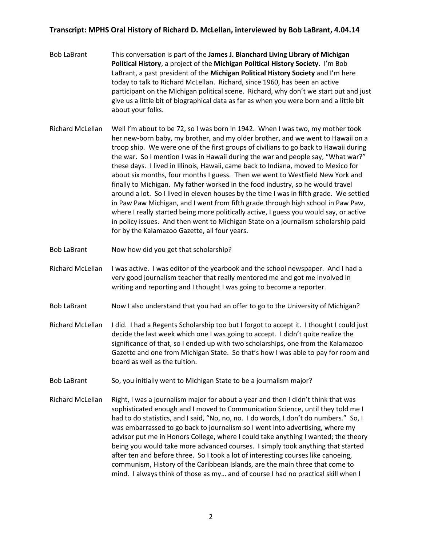- Bob LaBrant This conversation is part of the **James J. Blanchard Living Library of Michigan Political History**, a project of the **Michigan Political History Society**. I'm Bob LaBrant, a past president of the **Michigan Political History Society** and I'm here today to talk to Richard McLellan. Richard, since 1960, has been an active participant on the Michigan political scene. Richard, why don't we start out and just give us a little bit of biographical data as far as when you were born and a little bit about your folks.
- Richard McLellan Well I'm about to be 72, so I was born in 1942. When I was two, my mother took her new-born baby, my brother, and my older brother, and we went to Hawaii on a troop ship. We were one of the first groups of civilians to go back to Hawaii during the war. So I mention I was in Hawaii during the war and people say, "What war?" these days. I lived in Illinois, Hawaii, came back to Indiana, moved to Mexico for about six months, four months I guess. Then we went to Westfield New York and finally to Michigan. My father worked in the food industry, so he would travel around a lot. So I lived in eleven houses by the time I was in fifth grade. We settled in Paw Paw Michigan, and I went from fifth grade through high school in Paw Paw, where I really started being more politically active, I guess you would say, or active in policy issues. And then went to Michigan State on a journalism scholarship paid for by the Kalamazoo Gazette, all four years.
- Bob LaBrant Now how did you get that scholarship?
- Richard McLellan I was active. I was editor of the yearbook and the school newspaper. And I had a very good journalism teacher that really mentored me and got me involved in writing and reporting and I thought I was going to become a reporter.
- Bob LaBrant Now I also understand that you had an offer to go to the University of Michigan?
- Richard McLellan I did. I had a Regents Scholarship too but I forgot to accept it. I thought I could just decide the last week which one I was going to accept. I didn't quite realize the significance of that, so I ended up with two scholarships, one from the Kalamazoo Gazette and one from Michigan State. So that's how I was able to pay for room and board as well as the tuition.
- Bob LaBrant So, you initially went to Michigan State to be a journalism major?
- Richard McLellan Right, I was a journalism major for about a year and then I didn't think that was sophisticated enough and I moved to Communication Science, until they told me I had to do statistics, and I said, "No, no, no. I do words, I don't do numbers." So, I was embarrassed to go back to journalism so I went into advertising, where my advisor put me in Honors College, where I could take anything I wanted; the theory being you would take more advanced courses. I simply took anything that started after ten and before three. So I took a lot of interesting courses like canoeing, communism, History of the Caribbean Islands, are the main three that come to mind. I always think of those as my… and of course I had no practical skill when I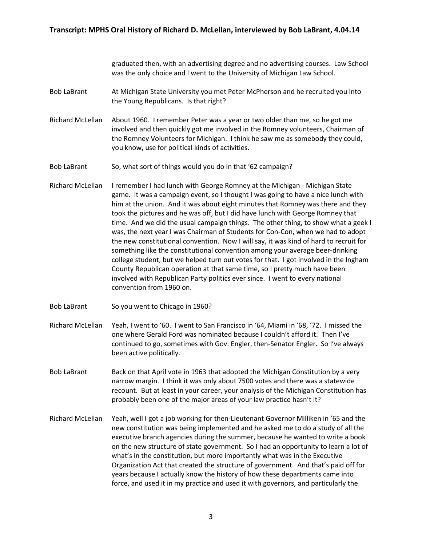graduated then, with an advertising degree and no advertising courses. Law School was the only choice and I went to the University of Michigan Law School.

- Bob LaBrant At Michigan State University you met Peter McPherson and he recruited you into the Young Republicans. Is that right?
- Richard McLellan About 1960. I remember Peter was a year or two older than me, so he got me involved and then quickly got me involved in the Romney volunteers, Chairman of the Romney Volunteers for Michigan. I think he saw me as somebody they could, you know, use for political kinds of activities.
- Bob LaBrant So, what sort of things would you do in that '62 campaign?
- Richard McLellan I remember I had lunch with George Romney at the Michigan Michigan State game. It was a campaign event, so I thought I was going to have a nice lunch with him at the union. And it was about eight minutes that Romney was there and they took the pictures and he was off, but I did have lunch with George Romney that time. And we did the usual campaign things. The other thing, to show what a geek I was, the next year I was Chairman of Students for Con-Con, when we had to adopt the new constitutional convention. Now I will say, it was kind of hard to recruit for something like the constitutional convention among your average beer-drinking college student, but we helped turn out votes for that. I got involved in the Ingham County Republican operation at that same time, so I pretty much have been involved with Republican Party politics ever since. I went to every national convention from 1960 on.
- Bob LaBrant So you went to Chicago in 1960?
- Richard McLellan Yeah, I went to '60. I went to San Francisco in '64, Miami in '68, '72. I missed the one where Gerald Ford was nominated because I couldn't afford it. Then I've continued to go, sometimes with Gov. Engler, then-Senator Engler. So I've always been active politically.
- Bob LaBrant Back on that April vote in 1963 that adopted the Michigan Constitution by a very narrow margin. I think it was only about 7500 votes and there was a statewide recount. But at least in your career, your analysis of the Michigan Constitution has probably been one of the major areas of your law practice hasn't it?
- Richard McLellan Yeah, well I got a job working for then-Lieutenant Governor Milliken in '65 and the new constitution was being implemented and he asked me to do a study of all the executive branch agencies during the summer, because he wanted to write a book on the new structure of state government. So I had an opportunity to learn a lot of what's in the constitution, but more importantly what was in the Executive Organization Act that created the structure of government. And that's paid off for years because I actually know the history of how these departments came into force, and used it in my practice and used it with governors, and particularly the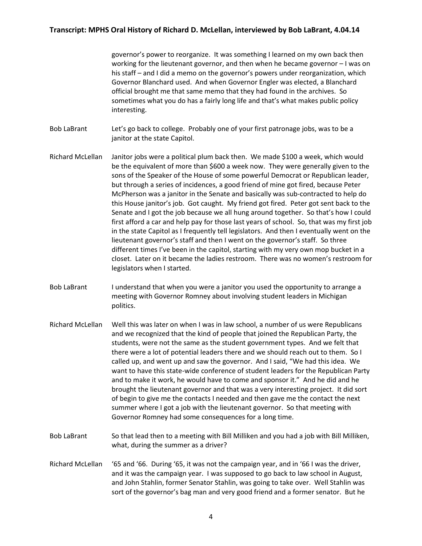governor's power to reorganize. It was something I learned on my own back then working for the lieutenant governor, and then when he became governor – I was on his staff – and I did a memo on the governor's powers under reorganization, which Governor Blanchard used. And when Governor Engler was elected, a Blanchard official brought me that same memo that they had found in the archives. So sometimes what you do has a fairly long life and that's what makes public policy interesting.

Bob LaBrant Let's go back to college. Probably one of your first patronage jobs, was to be a janitor at the state Capitol.

- Richard McLellan Janitor jobs were a political plum back then. We made \$100 a week, which would be the equivalent of more than \$600 a week now. They were generally given to the sons of the Speaker of the House of some powerful Democrat or Republican leader, but through a series of incidences, a good friend of mine got fired, because Peter McPherson was a janitor in the Senate and basically was sub-contracted to help do this House janitor's job. Got caught. My friend got fired. Peter got sent back to the Senate and I got the job because we all hung around together. So that's how I could first afford a car and help pay for those last years of school. So, that was my first job in the state Capitol as I frequently tell legislators. And then I eventually went on the lieutenant governor's staff and then I went on the governor's staff. So three different times I've been in the capitol, starting with my very own mop bucket in a closet. Later on it became the ladies restroom. There was no women's restroom for legislators when I started.
- Bob LaBrant I understand that when you were a janitor you used the opportunity to arrange a meeting with Governor Romney about involving student leaders in Michigan politics.
- Richard McLellan Well this was later on when I was in law school, a number of us were Republicans and we recognized that the kind of people that joined the Republican Party, the students, were not the same as the student government types. And we felt that there were a lot of potential leaders there and we should reach out to them. So I called up, and went up and saw the governor. And I said, "We had this idea. We want to have this state-wide conference of student leaders for the Republican Party and to make it work, he would have to come and sponsor it." And he did and he brought the lieutenant governor and that was a very interesting project. It did sort of begin to give me the contacts I needed and then gave me the contact the next summer where I got a job with the lieutenant governor. So that meeting with Governor Romney had some consequences for a long time.
- Bob LaBrant So that lead then to a meeting with Bill Milliken and you had a job with Bill Milliken, what, during the summer as a driver?
- Richard McLellan '65 and '66. During '65, it was not the campaign year, and in '66 I was the driver, and it was the campaign year. I was supposed to go back to law school in August, and John Stahlin, former Senator Stahlin, was going to take over. Well Stahlin was sort of the governor's bag man and very good friend and a former senator. But he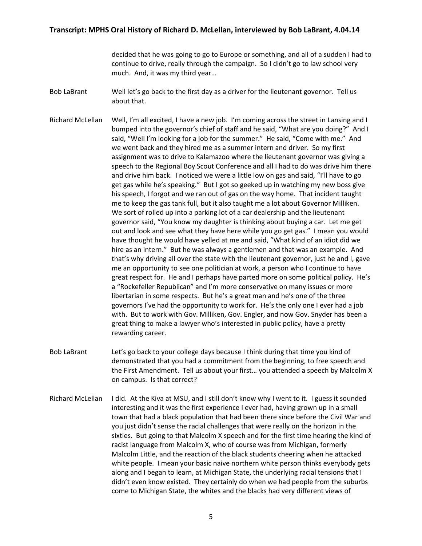decided that he was going to go to Europe or something, and all of a sudden I had to continue to drive, really through the campaign. So I didn't go to law school very much. And, it was my third year…

Bob LaBrant Well let's go back to the first day as a driver for the lieutenant governor. Tell us about that.

Richard McLellan Well, I'm all excited, I have a new job. I'm coming across the street in Lansing and I bumped into the governor's chief of staff and he said, "What are you doing?" And I said, "Well I'm looking for a job for the summer." He said, "Come with me." And we went back and they hired me as a summer intern and driver. So my first assignment was to drive to Kalamazoo where the lieutenant governor was giving a speech to the Regional Boy Scout Conference and all I had to do was drive him there and drive him back. I noticed we were a little low on gas and said, "I'll have to go get gas while he's speaking." But I got so geeked up in watching my new boss give his speech, I forgot and we ran out of gas on the way home. That incident taught me to keep the gas tank full, but it also taught me a lot about Governor Milliken. We sort of rolled up into a parking lot of a car dealership and the lieutenant governor said, "You know my daughter is thinking about buying a car. Let me get out and look and see what they have here while you go get gas." I mean you would have thought he would have yelled at me and said, "What kind of an idiot did we hire as an intern." But he was always a gentlemen and that was an example. And that's why driving all over the state with the lieutenant governor, just he and I, gave me an opportunity to see one politician at work, a person who I continue to have great respect for. He and I perhaps have parted more on some political policy. He's a "Rockefeller Republican" and I'm more conservative on many issues or more libertarian in some respects. But he's a great man and he's one of the three governors I've had the opportunity to work for. He's the only one I ever had a job with. But to work with Gov. Milliken, Gov. Engler, and now Gov. Snyder has been a great thing to make a lawyer who's interested in public policy, have a pretty rewarding career.

- Bob LaBrant Let's go back to your college days because I think during that time you kind of demonstrated that you had a commitment from the beginning, to free speech and the First Amendment. Tell us about your first… you attended a speech by Malcolm X on campus. Is that correct?
- Richard McLellan I did. At the Kiva at MSU, and I still don't know why I went to it. I guess it sounded interesting and it was the first experience I ever had, having grown up in a small town that had a black population that had been there since before the Civil War and you just didn't sense the racial challenges that were really on the horizon in the sixties. But going to that Malcolm X speech and for the first time hearing the kind of racist language from Malcolm X, who of course was from Michigan, formerly Malcolm Little, and the reaction of the black students cheering when he attacked white people. I mean your basic naive northern white person thinks everybody gets along and I began to learn, at Michigan State, the underlying racial tensions that I didn't even know existed. They certainly do when we had people from the suburbs come to Michigan State, the whites and the blacks had very different views of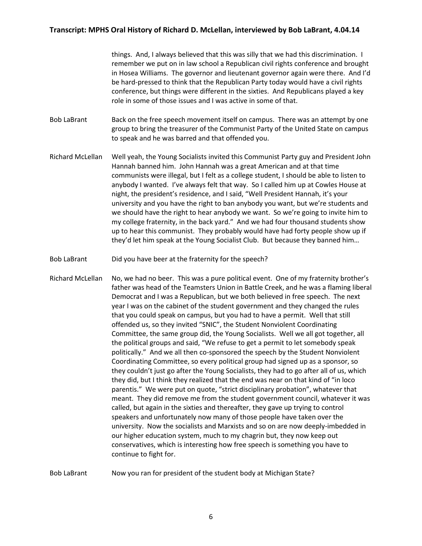things. And, I always believed that this was silly that we had this discrimination. I remember we put on in law school a Republican civil rights conference and brought in Hosea Williams. The governor and lieutenant governor again were there. And I'd be hard-pressed to think that the Republican Party today would have a civil rights conference, but things were different in the sixties. And Republicans played a key role in some of those issues and I was active in some of that.

Bob LaBrant Back on the free speech movement itself on campus. There was an attempt by one group to bring the treasurer of the Communist Party of the United State on campus to speak and he was barred and that offended you.

- Richard McLellan Well yeah, the Young Socialists invited this Communist Party guy and President John Hannah banned him. John Hannah was a great American and at that time communists were illegal, but I felt as a college student, I should be able to listen to anybody I wanted. I've always felt that way. So I called him up at Cowles House at night, the president's residence, and I said, "Well President Hannah, it's your university and you have the right to ban anybody you want, but we're students and we should have the right to hear anybody we want. So we're going to invite him to my college fraternity, in the back yard." And we had four thousand students show up to hear this communist. They probably would have had forty people show up if they'd let him speak at the Young Socialist Club. But because they banned him…
- Bob LaBrant Did you have beer at the fraternity for the speech?

Richard McLellan No, we had no beer. This was a pure political event. One of my fraternity brother's father was head of the Teamsters Union in Battle Creek, and he was a flaming liberal Democrat and I was a Republican, but we both believed in free speech. The next year I was on the cabinet of the student government and they changed the rules that you could speak on campus, but you had to have a permit. Well that still offended us, so they invited "SNIC", the Student Nonviolent Coordinating Committee, the same group did, the Young Socialists. Well we all got together, all the political groups and said, "We refuse to get a permit to let somebody speak politically." And we all then co-sponsored the speech by the Student Nonviolent Coordinating Committee, so every political group had signed up as a sponsor, so they couldn't just go after the Young Socialists, they had to go after all of us, which they did, but I think they realized that the end was near on that kind of "in loco parentis." We were put on quote, "strict disciplinary probation", whatever that meant. They did remove me from the student government council, whatever it was called, but again in the sixties and thereafter, they gave up trying to control speakers and unfortunately now many of those people have taken over the university. Now the socialists and Marxists and so on are now deeply-imbedded in our higher education system, much to my chagrin but, they now keep out conservatives, which is interesting how free speech is something you have to continue to fight for.

Bob LaBrant Now you ran for president of the student body at Michigan State?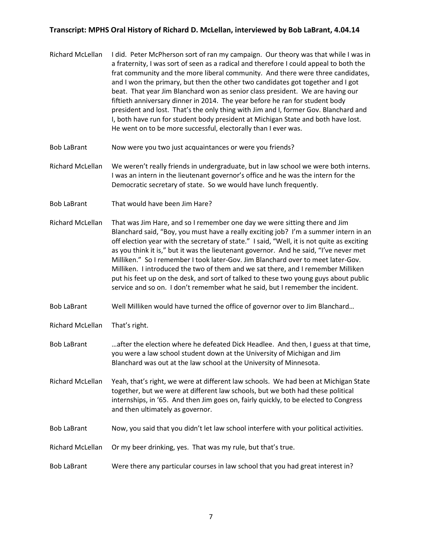- Richard McLellan I did. Peter McPherson sort of ran my campaign. Our theory was that while I was in a fraternity, I was sort of seen as a radical and therefore I could appeal to both the frat community and the more liberal community. And there were three candidates, and I won the primary, but then the other two candidates got together and I got beat. That year Jim Blanchard won as senior class president. We are having our fiftieth anniversary dinner in 2014. The year before he ran for student body president and lost. That's the only thing with Jim and I, former Gov. Blanchard and I, both have run for student body president at Michigan State and both have lost. He went on to be more successful, electorally than I ever was.
- Bob LaBrant Now were you two just acquaintances or were you friends?
- Richard McLellan We weren't really friends in undergraduate, but in law school we were both interns. I was an intern in the lieutenant governor's office and he was the intern for the Democratic secretary of state. So we would have lunch frequently.
- Bob LaBrant That would have been Jim Hare?
- Richard McLellan That was Jim Hare, and so I remember one day we were sitting there and Jim Blanchard said, "Boy, you must have a really exciting job? I'm a summer intern in an off election year with the secretary of state." I said, "Well, it is not quite as exciting as you think it is," but it was the lieutenant governor. And he said, "I've never met Milliken." So I remember I took later-Gov. Jim Blanchard over to meet later-Gov. Milliken. I introduced the two of them and we sat there, and I remember Milliken put his feet up on the desk, and sort of talked to these two young guys about public service and so on. I don't remember what he said, but I remember the incident.
- Bob LaBrant Well Milliken would have turned the office of governor over to Jim Blanchard…
- Richard McLellan That's right.
- Bob LaBrant …after the election where he defeated Dick Headlee. And then, I guess at that time, you were a law school student down at the University of Michigan and Jim Blanchard was out at the law school at the University of Minnesota.
- Richard McLellan Yeah, that's right, we were at different law schools. We had been at Michigan State together, but we were at different law schools, but we both had these political internships, in '65. And then Jim goes on, fairly quickly, to be elected to Congress and then ultimately as governor.
- Bob LaBrant Now, you said that you didn't let law school interfere with your political activities.
- Richard McLellan Or my beer drinking, yes. That was my rule, but that's true.
- Bob LaBrant Were there any particular courses in law school that you had great interest in?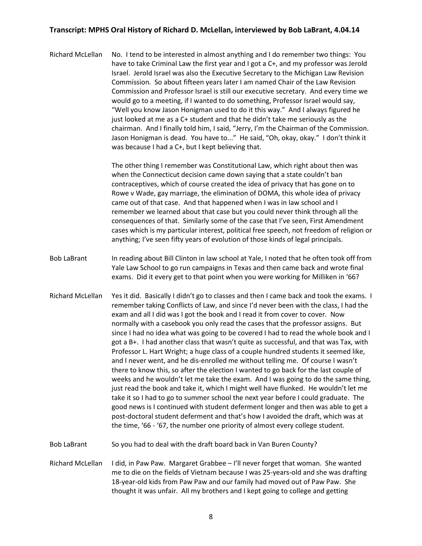Richard McLellan No. I tend to be interested in almost anything and I do remember two things: You have to take Criminal Law the first year and I got a C+, and my professor was Jerold Israel. Jerold Israel was also the Executive Secretary to the Michigan Law Revision Commission. So about fifteen years later I am named Chair of the Law Revision Commission and Professor Israel is still our executive secretary. And every time we would go to a meeting, if I wanted to do something, Professor Israel would say, "Well you know Jason Honigman used to do it this way." And I always figured he just looked at me as a C+ student and that he didn't take me seriously as the chairman. And I finally told him, I said, "Jerry, I'm the Chairman of the Commission. Jason Honigman is dead. You have to..." He said, "Oh, okay, okay." I don't think it was because I had a C+, but I kept believing that.

> The other thing I remember was Constitutional Law, which right about then was when the Connecticut decision came down saying that a state couldn't ban contraceptives, which of course created the idea of privacy that has gone on to Rowe v Wade, gay marriage, the elimination of DOMA, this whole idea of privacy came out of that case. And that happened when I was in law school and I remember we learned about that case but you could never think through all the consequences of that. Similarly some of the case that I've seen, First Amendment cases which is my particular interest, political free speech, not freedom of religion or anything; I've seen fifty years of evolution of those kinds of legal principals.

- Bob LaBrant In reading about Bill Clinton in law school at Yale, I noted that he often took off from Yale Law School to go run campaigns in Texas and then came back and wrote final exams. Did it every get to that point when you were working for Milliken in '66?
- Richard McLellan Yes it did. Basically I didn't go to classes and then I came back and took the exams. I remember taking Conflicts of Law, and since I'd never been with the class, I had the exam and all I did was I got the book and I read it from cover to cover. Now normally with a casebook you only read the cases that the professor assigns. But since I had no idea what was going to be covered I had to read the whole book and I got a B+. I had another class that wasn't quite as successful, and that was Tax, with Professor L. Hart Wright; a huge class of a couple hundred students it seemed like, and I never went, and he dis-enrolled me without telling me. Of course I wasn't there to know this, so after the election I wanted to go back for the last couple of weeks and he wouldn't let me take the exam. And I was going to do the same thing, just read the book and take it, which I might well have flunked. He wouldn't let me take it so I had to go to summer school the next year before I could graduate. The good news is I continued with student deferment longer and then was able to get a post-doctoral student deferment and that's how I avoided the draft, which was at the time, '66 - '67, the number one priority of almost every college student.

Bob LaBrant So you had to deal with the draft board back in Van Buren County?

Richard McLellan I did, in Paw Paw. Margaret Grabbee – I'll never forget that woman. She wanted me to die on the fields of Vietnam because I was 25-years-old and she was drafting 18-year-old kids from Paw Paw and our family had moved out of Paw Paw. She thought it was unfair. All my brothers and I kept going to college and getting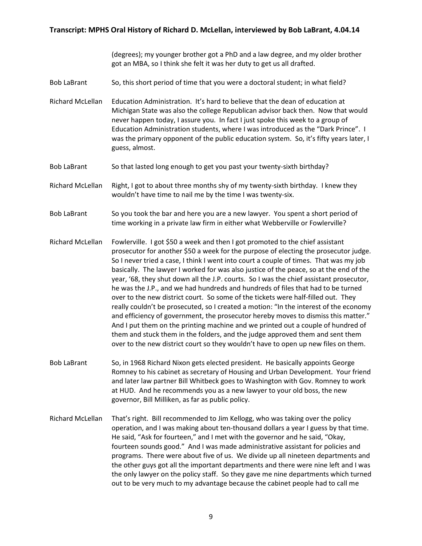(degrees); my younger brother got a PhD and a law degree, and my older brother got an MBA, so I think she felt it was her duty to get us all drafted.

- Bob LaBrant So, this short period of time that you were a doctoral student; in what field?
- Richard McLellan Education Administration. It's hard to believe that the dean of education at Michigan State was also the college Republican advisor back then. Now that would never happen today, I assure you. In fact I just spoke this week to a group of Education Administration students, where I was introduced as the "Dark Prince". I was the primary opponent of the public education system. So, it's fifty years later, I guess, almost.
- Bob LaBrant So that lasted long enough to get you past your twenty-sixth birthday?
- Richard McLellan Right, I got to about three months shy of my twenty-sixth birthday. I knew they wouldn't have time to nail me by the time I was twenty-six.
- Bob LaBrant So you took the bar and here you are a new lawyer. You spent a short period of time working in a private law firm in either what Webberville or Fowlerville?
- Richard McLellan Fowlerville. I got \$50 a week and then I got promoted to the chief assistant prosecutor for another \$50 a week for the purpose of electing the prosecutor judge. So I never tried a case, I think I went into court a couple of times. That was my job basically. The lawyer I worked for was also justice of the peace, so at the end of the year, '68, they shut down all the J.P. courts. So I was the chief assistant prosecutor, he was the J.P., and we had hundreds and hundreds of files that had to be turned over to the new district court. So some of the tickets were half-filled out. They really couldn't be prosecuted, so I created a motion: "In the interest of the economy and efficiency of government, the prosecutor hereby moves to dismiss this matter." And I put them on the printing machine and we printed out a couple of hundred of them and stuck them in the folders, and the judge approved them and sent them over to the new district court so they wouldn't have to open up new files on them.
- Bob LaBrant So, in 1968 Richard Nixon gets elected president. He basically appoints George Romney to his cabinet as secretary of Housing and Urban Development. Your friend and later law partner Bill Whitbeck goes to Washington with Gov. Romney to work at HUD. And he recommends you as a new lawyer to your old boss, the new governor, Bill Milliken, as far as public policy.
- Richard McLellan That's right. Bill recommended to Jim Kellogg, who was taking over the policy operation, and I was making about ten-thousand dollars a year I guess by that time. He said, "Ask for fourteen," and I met with the governor and he said, "Okay, fourteen sounds good." And I was made administrative assistant for policies and programs. There were about five of us. We divide up all nineteen departments and the other guys got all the important departments and there were nine left and I was the only lawyer on the policy staff. So they gave me nine departments which turned out to be very much to my advantage because the cabinet people had to call me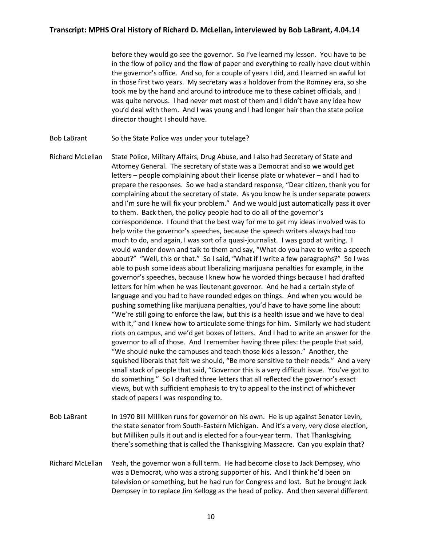before they would go see the governor. So I've learned my lesson. You have to be in the flow of policy and the flow of paper and everything to really have clout within the governor's office. And so, for a couple of years I did, and I learned an awful lot in those first two years. My secretary was a holdover from the Romney era, so she took me by the hand and around to introduce me to these cabinet officials, and I was quite nervous. I had never met most of them and I didn't have any idea how you'd deal with them. And I was young and I had longer hair than the state police director thought I should have.

Bob LaBrant So the State Police was under your tutelage?

Richard McLellan State Police, Military Affairs, Drug Abuse, and I also had Secretary of State and Attorney General. The secretary of state was a Democrat and so we would get letters – people complaining about their license plate or whatever – and I had to prepare the responses. So we had a standard response, "Dear citizen, thank you for complaining about the secretary of state. As you know he is under separate powers and I'm sure he will fix your problem." And we would just automatically pass it over to them. Back then, the policy people had to do all of the governor's correspondence. I found that the best way for me to get my ideas involved was to help write the governor's speeches, because the speech writers always had too much to do, and again, I was sort of a quasi-journalist. I was good at writing. I would wander down and talk to them and say, "What do you have to write a speech about?" "Well, this or that." So I said, "What if I write a few paragraphs?" So I was able to push some ideas about liberalizing marijuana penalties for example, in the governor's speeches, because I knew how he worded things because I had drafted letters for him when he was lieutenant governor. And he had a certain style of language and you had to have rounded edges on things. And when you would be pushing something like marijuana penalties, you'd have to have some line about: "We're still going to enforce the law, but this is a health issue and we have to deal with it," and I knew how to articulate some things for him. Similarly we had student riots on campus, and we'd get boxes of letters. And I had to write an answer for the governor to all of those. And I remember having three piles: the people that said, "We should nuke the campuses and teach those kids a lesson." Another, the squished liberals that felt we should, "Be more sensitive to their needs." And a very small stack of people that said, "Governor this is a very difficult issue. You've got to do something." So I drafted three letters that all reflected the governor's exact views, but with sufficient emphasis to try to appeal to the instinct of whichever stack of papers I was responding to.

- Bob LaBrant In 1970 Bill Milliken runs for governor on his own. He is up against Senator Levin, the state senator from South-Eastern Michigan. And it's a very, very close election, but Milliken pulls it out and is elected for a four-year term. That Thanksgiving there's something that is called the Thanksgiving Massacre. Can you explain that?
- Richard McLellan Yeah, the governor won a full term. He had become close to Jack Dempsey, who was a Democrat, who was a strong supporter of his. And I think he'd been on television or something, but he had run for Congress and lost. But he brought Jack Dempsey in to replace Jim Kellogg as the head of policy. And then several different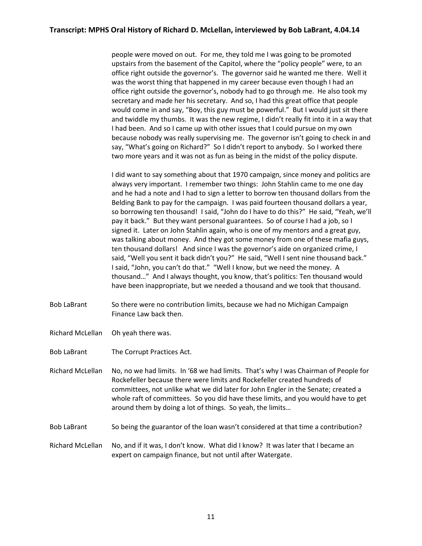people were moved on out. For me, they told me I was going to be promoted upstairs from the basement of the Capitol, where the "policy people" were, to an office right outside the governor's. The governor said he wanted me there. Well it was the worst thing that happened in my career because even though I had an office right outside the governor's, nobody had to go through me. He also took my secretary and made her his secretary. And so, I had this great office that people would come in and say, "Boy, this guy must be powerful." But I would just sit there and twiddle my thumbs. It was the new regime, I didn't really fit into it in a way that I had been. And so I came up with other issues that I could pursue on my own because nobody was really supervising me. The governor isn't going to check in and say, "What's going on Richard?" So I didn't report to anybody. So I worked there two more years and it was not as fun as being in the midst of the policy dispute.

I did want to say something about that 1970 campaign, since money and politics are always very important. I remember two things: John Stahlin came to me one day and he had a note and I had to sign a letter to borrow ten thousand dollars from the Belding Bank to pay for the campaign. I was paid fourteen thousand dollars a year, so borrowing ten thousand! I said, "John do I have to do this?" He said, "Yeah, we'll pay it back." But they want personal guarantees. So of course I had a job, so I signed it. Later on John Stahlin again, who is one of my mentors and a great guy, was talking about money. And they got some money from one of these mafia guys, ten thousand dollars! And since I was the governor's aide on organized crime, I said, "Well you sent it back didn't you?" He said, "Well I sent nine thousand back." I said, "John, you can't do that." "Well I know, but we need the money. A thousand…" And I always thought, you know, that's politics: Ten thousand would have been inappropriate, but we needed a thousand and we took that thousand.

- Bob LaBrant So there were no contribution limits, because we had no Michigan Campaign Finance Law back then.
- Richard McLellan Oh yeah there was.
- Bob LaBrant The Corrupt Practices Act.
- Richard McLellan No, no we had limits. In '68 we had limits. That's why I was Chairman of People for Rockefeller because there were limits and Rockefeller created hundreds of committees, not unlike what we did later for John Engler in the Senate; created a whole raft of committees. So you did have these limits, and you would have to get around them by doing a lot of things. So yeah, the limits…
- Bob LaBrant So being the guarantor of the loan wasn't considered at that time a contribution?
- Richard McLellan No, and if it was, I don't know. What did I know? It was later that I became an expert on campaign finance, but not until after Watergate.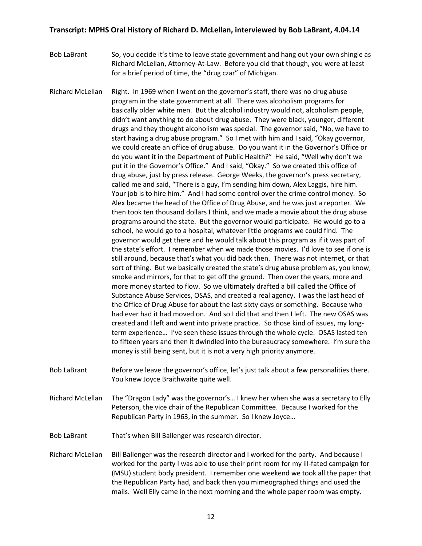- Bob LaBrant So, you decide it's time to leave state government and hang out your own shingle as Richard McLellan, Attorney-At-Law. Before you did that though, you were at least for a brief period of time, the "drug czar" of Michigan.
- Richard McLellan Right. In 1969 when I went on the governor's staff, there was no drug abuse program in the state government at all. There was alcoholism programs for basically older white men. But the alcohol industry would not, alcoholism people, didn't want anything to do about drug abuse. They were black, younger, different drugs and they thought alcoholism was special. The governor said, "No, we have to start having a drug abuse program." So I met with him and I said, "Okay governor, we could create an office of drug abuse. Do you want it in the Governor's Office or do you want it in the Department of Public Health?" He said, "Well why don't we put it in the Governor's Office." And I said, "Okay." So we created this office of drug abuse, just by press release. George Weeks, the governor's press secretary, called me and said, "There is a guy, I'm sending him down, Alex Laggis, hire him. Your job is to hire him." And I had some control over the crime control money. So Alex became the head of the Office of Drug Abuse, and he was just a reporter. We then took ten thousand dollars I think, and we made a movie about the drug abuse programs around the state. But the governor would participate. He would go to a school, he would go to a hospital, whatever little programs we could find. The governor would get there and he would talk about this program as if it was part of the state's effort. I remember when we made those movies. I'd love to see if one is still around, because that's what you did back then. There was not internet, or that sort of thing. But we basically created the state's drug abuse problem as, you know, smoke and mirrors, for that to get off the ground. Then over the years, more and more money started to flow. So we ultimately drafted a bill called the Office of Substance Abuse Services, OSAS, and created a real agency. I was the last head of the Office of Drug Abuse for about the last sixty days or something. Because who had ever had it had moved on. And so I did that and then I left. The new OSAS was created and I left and went into private practice. So those kind of issues, my longterm experience… I've seen these issues through the whole cycle. OSAS lasted ten to fifteen years and then it dwindled into the bureaucracy somewhere. I'm sure the money is still being sent, but it is not a very high priority anymore.
- Bob LaBrant Before we leave the governor's office, let's just talk about a few personalities there. You knew Joyce Braithwaite quite well.
- Richard McLellan The "Dragon Lady" was the governor's… I knew her when she was a secretary to Elly Peterson, the vice chair of the Republican Committee. Because I worked for the Republican Party in 1963, in the summer. So I knew Joyce…
- Bob LaBrant That's when Bill Ballenger was research director.
- Richard McLellan Bill Ballenger was the research director and I worked for the party. And because I worked for the party I was able to use their print room for my ill-fated campaign for (MSU) student body president. I remember one weekend we took all the paper that the Republican Party had, and back then you mimeographed things and used the mails. Well Elly came in the next morning and the whole paper room was empty.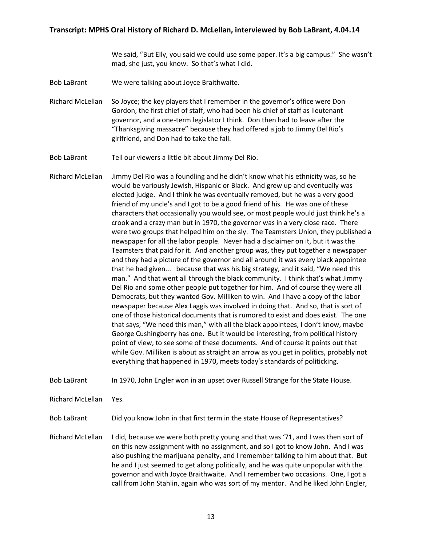We said, "But Elly, you said we could use some paper. It's a big campus." She wasn't mad, she just, you know. So that's what I did.

Bob LaBrant We were talking about Joyce Braithwaite.

Richard McLellan So Joyce; the key players that I remember in the governor's office were Don Gordon, the first chief of staff, who had been his chief of staff as lieutenant governor, and a one-term legislator I think. Don then had to leave after the "Thanksgiving massacre" because they had offered a job to Jimmy Del Rio's girlfriend, and Don had to take the fall.

Bob LaBrant Tell our viewers a little bit about Jimmy Del Rio.

Richard McLellan Jimmy Del Rio was a foundling and he didn't know what his ethnicity was, so he would be variously Jewish, Hispanic or Black. And grew up and eventually was elected judge. And I think he was eventually removed, but he was a very good friend of my uncle's and I got to be a good friend of his. He was one of these characters that occasionally you would see, or most people would just think he's a crook and a crazy man but in 1970, the governor was in a very close race. There were two groups that helped him on the sly. The Teamsters Union, they published a newspaper for all the labor people. Never had a disclaimer on it, but it was the Teamsters that paid for it. And another group was, they put together a newspaper and they had a picture of the governor and all around it was every black appointee that he had given... because that was his big strategy, and it said, "We need this man." And that went all through the black community. I think that's what Jimmy Del Rio and some other people put together for him. And of course they were all Democrats, but they wanted Gov. Milliken to win. And I have a copy of the labor newspaper because Alex Laggis was involved in doing that. And so, that is sort of one of those historical documents that is rumored to exist and does exist. The one that says, "We need this man," with all the black appointees, I don't know, maybe George Cushingberry has one. But it would be interesting, from political history point of view, to see some of these documents. And of course it points out that while Gov. Milliken is about as straight an arrow as you get in politics, probably not everything that happened in 1970, meets today's standards of politicking.

Bob LaBrant In 1970, John Engler won in an upset over Russell Strange for the State House.

Richard McLellan Yes.

Bob LaBrant Did you know John in that first term in the state House of Representatives?

Richard McLellan I did, because we were both pretty young and that was '71, and I was then sort of on this new assignment with no assignment, and so I got to know John. And I was also pushing the marijuana penalty, and I remember talking to him about that. But he and I just seemed to get along politically, and he was quite unpopular with the governor and with Joyce Braithwaite. And I remember two occasions. One, I got a call from John Stahlin, again who was sort of my mentor. And he liked John Engler,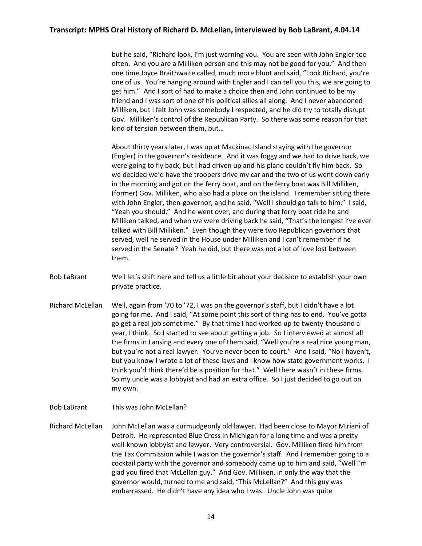but he said, "Richard look, I'm just warning you. You are seen with John Engler too often. And you are a Milliken person and this may not be good for you." And then one time Joyce Braithwaite called, much more blunt and said, "Look Richard, you're one of us. You're hanging around with Engler and I can tell you this, we are going to get him." And I sort of had to make a choice then and John continued to be my friend and I was sort of one of his political allies all along. And I never abandoned Milliken, but I felt John was somebody I respected, and he did try to totally disrupt Gov. Milliken's control of the Republican Party. So there was some reason for that kind of tension between them, but…

About thirty years later, I was up at Mackinac Island staying with the governor (Engler) in the governor's residence. And it was foggy and we had to drive back, we were going to fly back, but I had driven up and his plane couldn't fly him back. So we decided we'd have the troopers drive my car and the two of us went down early in the morning and got on the ferry boat, and on the ferry boat was Bill Milliken, (former) Gov. Milliken, who also had a place on the island. I remember sitting there with John Engler, then-governor, and he said, "Well I should go talk to him." I said, "Yeah you should." And he went over, and during that ferry boat ride he and Milliken talked, and when we were driving back he said, "That's the longest I've ever talked with Bill Milliken." Even though they were two Republican governors that served, well he served in the House under Milliken and I can't remember if he served in the Senate? Yeah he did, but there was not a lot of love lost between them.

- Bob LaBrant Well let's shift here and tell us a little bit about your decision to establish your own private practice.
- Richard McLellan Well, again from '70 to '72, I was on the governor's staff, but I didn't have a lot going for me. And I said, "At some point this sort of thing has to end. You've gotta go get a real job sometime." By that time I had worked up to twenty-thousand a year, I think. So I started to see about getting a job. So I interviewed at almost all the firms in Lansing and every one of them said, "Well you're a real nice young man, but you're not a real lawyer. You've never been to court." And I said, "No I haven't, but you know I wrote a lot of these laws and I know how state government works. I think you'd think there'd be a position for that." Well there wasn't in these firms. So my uncle was a lobbyist and had an extra office. So I just decided to go out on my own.
- Bob LaBrant This was John McLellan?
- Richard McLellan John McLellan was a curmudgeonly old lawyer. Had been close to Mayor Miriani of Detroit. He represented Blue Cross in Michigan for a long time and was a pretty well-known lobbyist and lawyer. Very controversial. Gov. Milliken fired him from the Tax Commission while I was on the governor's staff. And I remember going to a cocktail party with the governor and somebody came up to him and said, "Well I'm glad you fired that McLellan guy." And Gov. Milliken, in only the way that the governor would, turned to me and said, "This McLellan?" And this guy was embarrassed. He didn't have any idea who I was. Uncle John was quite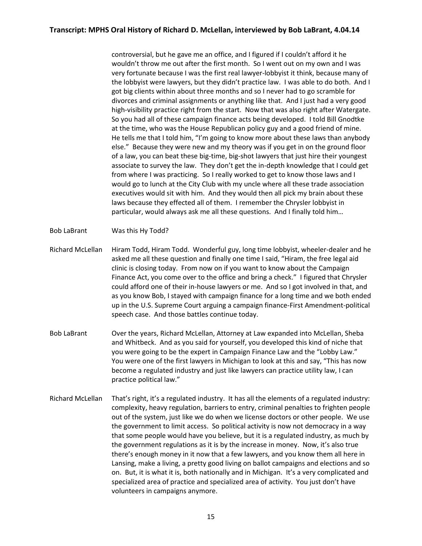controversial, but he gave me an office, and I figured if I couldn't afford it he wouldn't throw me out after the first month. So I went out on my own and I was very fortunate because I was the first real lawyer-lobbyist it think, because many of the lobbyist were lawyers, but they didn't practice law. I was able to do both. And I got big clients within about three months and so I never had to go scramble for divorces and criminal assignments or anything like that. And I just had a very good high-visibility practice right from the start. Now that was also right after Watergate. So you had all of these campaign finance acts being developed. I told Bill Gnodtke at the time, who was the House Republican policy guy and a good friend of mine. He tells me that I told him, "I'm going to know more about these laws than anybody else." Because they were new and my theory was if you get in on the ground floor of a law, you can beat these big-time, big-shot lawyers that just hire their youngest associate to survey the law. They don't get the in-depth knowledge that I could get from where I was practicing. So I really worked to get to know those laws and I would go to lunch at the City Club with my uncle where all these trade association executives would sit with him. And they would then all pick my brain about these laws because they effected all of them. I remember the Chrysler lobbyist in particular, would always ask me all these questions. And I finally told him…

- Bob LaBrant Was this Hy Todd?
- Richard McLellan Hiram Todd, Hiram Todd. Wonderful guy, long time lobbyist, wheeler-dealer and he asked me all these question and finally one time I said, "Hiram, the free legal aid clinic is closing today. From now on if you want to know about the Campaign Finance Act, you come over to the office and bring a check." I figured that Chrysler could afford one of their in-house lawyers or me. And so I got involved in that, and as you know Bob, I stayed with campaign finance for a long time and we both ended up in the U.S. Supreme Court arguing a campaign finance-First Amendment-political speech case. And those battles continue today.
- Bob LaBrant Over the years, Richard McLellan, Attorney at Law expanded into McLellan, Sheba and Whitbeck. And as you said for yourself, you developed this kind of niche that you were going to be the expert in Campaign Finance Law and the "Lobby Law." You were one of the first lawyers in Michigan to look at this and say, "This has now become a regulated industry and just like lawyers can practice utility law, I can practice political law."
- Richard McLellan That's right, it's a regulated industry. It has all the elements of a regulated industry: complexity, heavy regulation, barriers to entry, criminal penalties to frighten people out of the system, just like we do when we license doctors or other people. We use the government to limit access. So political activity is now not democracy in a way that some people would have you believe, but it is a regulated industry, as much by the government regulations as it is by the increase in money. Now, it's also true there's enough money in it now that a few lawyers, and you know them all here in Lansing, make a living, a pretty good living on ballot campaigns and elections and so on. But, it is what it is, both nationally and in Michigan. It's a very complicated and specialized area of practice and specialized area of activity. You just don't have volunteers in campaigns anymore.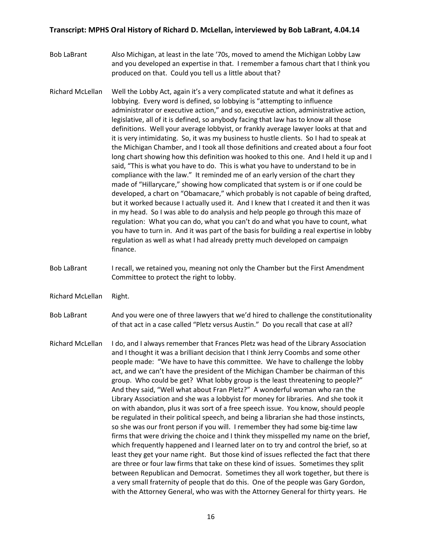- Bob LaBrant Also Michigan, at least in the late '70s, moved to amend the Michigan Lobby Law and you developed an expertise in that. I remember a famous chart that I think you produced on that. Could you tell us a little about that?
- Richard McLellan Well the Lobby Act, again it's a very complicated statute and what it defines as lobbying. Every word is defined, so lobbying is "attempting to influence administrator or executive action," and so, executive action, administrative action, legislative, all of it is defined, so anybody facing that law has to know all those definitions. Well your average lobbyist, or frankly average lawyer looks at that and it is very intimidating. So, it was my business to hustle clients. So I had to speak at the Michigan Chamber, and I took all those definitions and created about a four foot long chart showing how this definition was hooked to this one. And I held it up and I said, "This is what you have to do. This is what you have to understand to be in compliance with the law." It reminded me of an early version of the chart they made of "Hillarycare," showing how complicated that system is or if one could be developed, a chart on "Obamacare," which probably is not capable of being drafted, but it worked because I actually used it. And I knew that I created it and then it was in my head. So I was able to do analysis and help people go through this maze of regulation: What you can do, what you can't do and what you have to count, what you have to turn in. And it was part of the basis for building a real expertise in lobby regulation as well as what I had already pretty much developed on campaign finance.
- Bob LaBrant I recall, we retained you, meaning not only the Chamber but the First Amendment Committee to protect the right to lobby.
- Richard McLellan Right.

Bob LaBrant And you were one of three lawyers that we'd hired to challenge the constitutionality of that act in a case called "Pletz versus Austin." Do you recall that case at all?

Richard McLellan I do, and I always remember that Frances Pletz was head of the Library Association and I thought it was a brilliant decision that I think Jerry Coombs and some other people made: "We have to have this committee. We have to challenge the lobby act, and we can't have the president of the Michigan Chamber be chairman of this group. Who could be get? What lobby group is the least threatening to people?" And they said, "Well what about Fran Pletz?" A wonderful woman who ran the Library Association and she was a lobbyist for money for libraries. And she took it on with abandon, plus it was sort of a free speech issue. You know, should people be regulated in their political speech, and being a librarian she had those instincts, so she was our front person if you will. I remember they had some big-time law firms that were driving the choice and I think they misspelled my name on the brief, which frequently happened and I learned later on to try and control the brief, so at least they get your name right. But those kind of issues reflected the fact that there are three or four law firms that take on these kind of issues. Sometimes they split between Republican and Democrat. Sometimes they all work together, but there is a very small fraternity of people that do this. One of the people was Gary Gordon, with the Attorney General, who was with the Attorney General for thirty years. He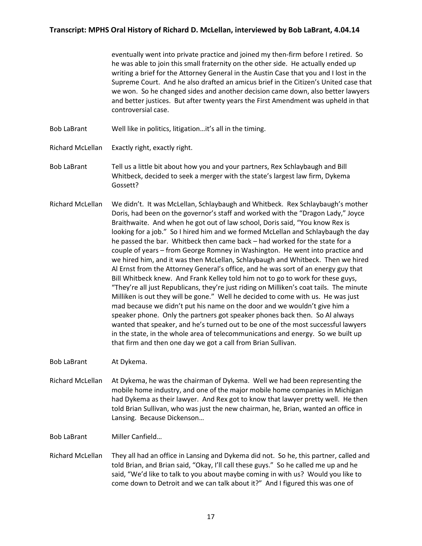eventually went into private practice and joined my then-firm before I retired. So he was able to join this small fraternity on the other side. He actually ended up writing a brief for the Attorney General in the Austin Case that you and I lost in the Supreme Court. And he also drafted an amicus brief in the Citizen's United case that we won. So he changed sides and another decision came down, also better lawyers and better justices. But after twenty years the First Amendment was upheld in that controversial case.

- Bob LaBrant Well like in politics, litigation…it's all in the timing.
- Richard McLellan Exactly right, exactly right.
- Bob LaBrant Tell us a little bit about how you and your partners, Rex Schlaybaugh and Bill Whitbeck, decided to seek a merger with the state's largest law firm, Dykema Gossett?
- Richard McLellan We didn't. It was McLellan, Schlaybaugh and Whitbeck. Rex Schlaybaugh's mother Doris, had been on the governor's staff and worked with the "Dragon Lady," Joyce Braithwaite. And when he got out of law school, Doris said, "You know Rex is looking for a job." So I hired him and we formed McLellan and Schlaybaugh the day he passed the bar. Whitbeck then came back – had worked for the state for a couple of years – from George Romney in Washington. He went into practice and we hired him, and it was then McLellan, Schlaybaugh and Whitbeck. Then we hired Al Ernst from the Attorney General's office, and he was sort of an energy guy that Bill Whitbeck knew. And Frank Kelley told him not to go to work for these guys, "They're all just Republicans, they're just riding on Milliken's coat tails. The minute Milliken is out they will be gone." Well he decided to come with us. He was just mad because we didn't put his name on the door and we wouldn't give him a speaker phone. Only the partners got speaker phones back then. So Al always wanted that speaker, and he's turned out to be one of the most successful lawyers in the state, in the whole area of telecommunications and energy. So we built up that firm and then one day we got a call from Brian Sullivan.

Bob LaBrant At Dykema.

- Richard McLellan At Dykema, he was the chairman of Dykema. Well we had been representing the mobile home industry, and one of the major mobile home companies in Michigan had Dykema as their lawyer. And Rex got to know that lawyer pretty well. He then told Brian Sullivan, who was just the new chairman, he, Brian, wanted an office in Lansing. Because Dickenson…
- Bob LaBrant Miller Canfield…
- Richard McLellan They all had an office in Lansing and Dykema did not. So he, this partner, called and told Brian, and Brian said, "Okay, I'll call these guys." So he called me up and he said, "We'd like to talk to you about maybe coming in with us? Would you like to come down to Detroit and we can talk about it?" And I figured this was one of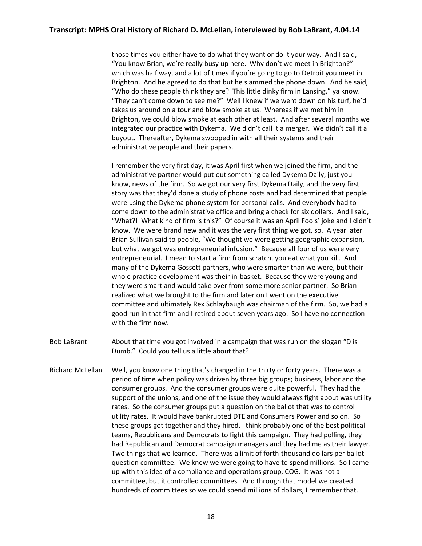those times you either have to do what they want or do it your way. And I said, "You know Brian, we're really busy up here. Why don't we meet in Brighton?" which was half way, and a lot of times if you're going to go to Detroit you meet in Brighton. And he agreed to do that but he slammed the phone down. And he said, "Who do these people think they are? This little dinky firm in Lansing," ya know. "They can't come down to see me?" Well I knew if we went down on his turf, he'd takes us around on a tour and blow smoke at us. Whereas if we met him in Brighton, we could blow smoke at each other at least. And after several months we integrated our practice with Dykema. We didn't call it a merger. We didn't call it a buyout. Thereafter, Dykema swooped in with all their systems and their administrative people and their papers.

I remember the very first day, it was April first when we joined the firm, and the administrative partner would put out something called Dykema Daily, just you know, news of the firm. So we got our very first Dykema Daily, and the very first story was that they'd done a study of phone costs and had determined that people were using the Dykema phone system for personal calls. And everybody had to come down to the administrative office and bring a check for six dollars. And I said, "What?! What kind of firm is this?" Of course it was an April Fools' joke and I didn't know. We were brand new and it was the very first thing we got, so. A year later Brian Sullivan said to people, "We thought we were getting geographic expansion, but what we got was entrepreneurial infusion." Because all four of us were very entrepreneurial. I mean to start a firm from scratch, you eat what you kill. And many of the Dykema Gossett partners, who were smarter than we were, but their whole practice development was their in-basket. Because they were young and they were smart and would take over from some more senior partner. So Brian realized what we brought to the firm and later on I went on the executive committee and ultimately Rex Schlaybaugh was chairman of the firm. So, we had a good run in that firm and I retired about seven years ago. So I have no connection with the firm now.

- Bob LaBrant About that time you got involved in a campaign that was run on the slogan "D is Dumb." Could you tell us a little about that?
- Richard McLellan Well, you know one thing that's changed in the thirty or forty years. There was a period of time when policy was driven by three big groups; business, labor and the consumer groups. And the consumer groups were quite powerful. They had the support of the unions, and one of the issue they would always fight about was utility rates. So the consumer groups put a question on the ballot that was to control utility rates. It would have bankrupted DTE and Consumers Power and so on. So these groups got together and they hired, I think probably one of the best political teams, Republicans and Democrats to fight this campaign. They had polling, they had Republican and Democrat campaign managers and they had me as their lawyer. Two things that we learned. There was a limit of forth-thousand dollars per ballot question committee. We knew we were going to have to spend millions. So I came up with this idea of a compliance and operations group, COG. It was not a committee, but it controlled committees. And through that model we created hundreds of committees so we could spend millions of dollars, I remember that.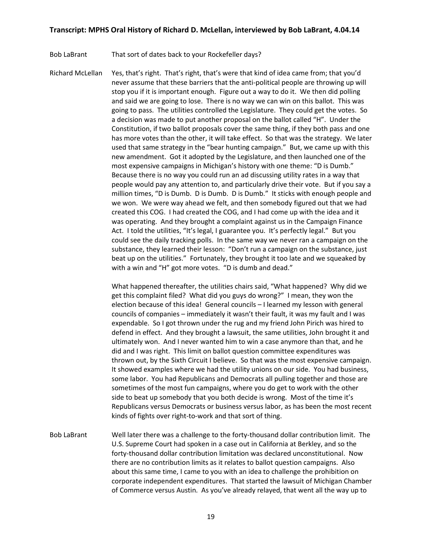Bob LaBrant That sort of dates back to your Rockefeller days?

Richard McLellan Yes, that's right. That's right, that's were that kind of idea came from; that you'd never assume that these barriers that the anti-political people are throwing up will stop you if it is important enough. Figure out a way to do it. We then did polling and said we are going to lose. There is no way we can win on this ballot. This was going to pass. The utilities controlled the Legislature. They could get the votes. So a decision was made to put another proposal on the ballot called "H". Under the Constitution, if two ballot proposals cover the same thing, if they both pass and one has more votes than the other, it will take effect. So that was the strategy. We later used that same strategy in the "bear hunting campaign." But, we came up with this new amendment. Got it adopted by the Legislature, and then launched one of the most expensive campaigns in Michigan's history with one theme: "D is Dumb." Because there is no way you could run an ad discussing utility rates in a way that people would pay any attention to, and particularly drive their vote. But if you say a million times, "D is Dumb. D is Dumb. D is Dumb." It sticks with enough people and we won. We were way ahead we felt, and then somebody figured out that we had created this COG. I had created the COG, and I had come up with the idea and it was operating. And they brought a complaint against us in the Campaign Finance Act. I told the utilities, "It's legal, I guarantee you. It's perfectly legal." But you could see the daily tracking polls. In the same way we never ran a campaign on the substance, they learned their lesson: "Don't run a campaign on the substance, just beat up on the utilities." Fortunately, they brought it too late and we squeaked by with a win and "H" got more votes. "D is dumb and dead."

> What happened thereafter, the utilities chairs said, "What happened? Why did we get this complaint filed? What did you guys do wrong?" I mean, they won the election because of this idea! General councils – I learned my lesson with general councils of companies – immediately it wasn't their fault, it was my fault and I was expendable. So I got thrown under the rug and my friend John Pirich was hired to defend in effect. And they brought a lawsuit, the same utilities, John brought it and ultimately won. And I never wanted him to win a case anymore than that, and he did and I was right. This limit on ballot question committee expenditures was thrown out, by the Sixth Circuit I believe. So that was the most expensive campaign. It showed examples where we had the utility unions on our side. You had business, some labor. You had Republicans and Democrats all pulling together and those are sometimes of the most fun campaigns, where you do get to work with the other side to beat up somebody that you both decide is wrong. Most of the time it's Republicans versus Democrats or business versus labor, as has been the most recent kinds of fights over right-to-work and that sort of thing.

Bob LaBrant Well later there was a challenge to the forty-thousand dollar contribution limit. The U.S. Supreme Court had spoken in a case out in California at Berkley, and so the forty-thousand dollar contribution limitation was declared unconstitutional. Now there are no contribution limits as it relates to ballot question campaigns. Also about this same time, I came to you with an idea to challenge the prohibition on corporate independent expenditures. That started the lawsuit of Michigan Chamber of Commerce versus Austin. As you've already relayed, that went all the way up to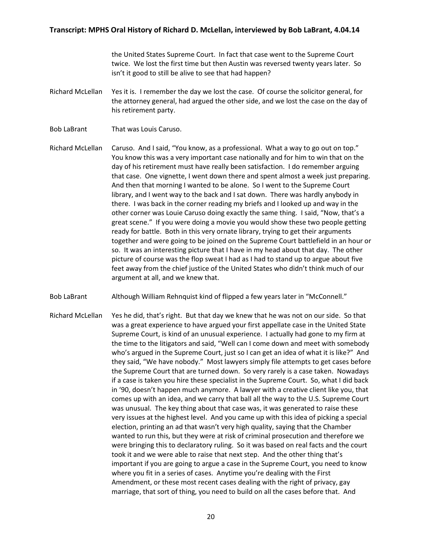the United States Supreme Court. In fact that case went to the Supreme Court twice. We lost the first time but then Austin was reversed twenty years later. So isn't it good to still be alive to see that had happen?

- Richard McLellan Yes it is. I remember the day we lost the case. Of course the solicitor general, for the attorney general, had argued the other side, and we lost the case on the day of his retirement party.
- Bob LaBrant That was Louis Caruso.

Richard McLellan Caruso. And I said, "You know, as a professional. What a way to go out on top." You know this was a very important case nationally and for him to win that on the day of his retirement must have really been satisfaction. I do remember arguing that case. One vignette, I went down there and spent almost a week just preparing. And then that morning I wanted to be alone. So I went to the Supreme Court library, and I went way to the back and I sat down. There was hardly anybody in there. I was back in the corner reading my briefs and I looked up and way in the other corner was Louie Caruso doing exactly the same thing. I said, "Now, that's a great scene." If you were doing a movie you would show these two people getting ready for battle. Both in this very ornate library, trying to get their arguments together and were going to be joined on the Supreme Court battlefield in an hour or so. It was an interesting picture that I have in my head about that day. The other picture of course was the flop sweat I had as I had to stand up to argue about five feet away from the chief justice of the United States who didn't think much of our argument at all, and we knew that.

- Bob LaBrant Although William Rehnquist kind of flipped a few years later in "McConnell."
- Richard McLellan Yes he did, that's right. But that day we knew that he was not on our side. So that was a great experience to have argued your first appellate case in the United State Supreme Court, is kind of an unusual experience. I actually had gone to my firm at the time to the litigators and said, "Well can I come down and meet with somebody who's argued in the Supreme Court, just so I can get an idea of what it is like?" And they said, "We have nobody." Most lawyers simply file attempts to get cases before the Supreme Court that are turned down. So very rarely is a case taken. Nowadays if a case is taken you hire these specialist in the Supreme Court. So, what I did back in '90, doesn't happen much anymore. A lawyer with a creative client like you, that comes up with an idea, and we carry that ball all the way to the U.S. Supreme Court was unusual. The key thing about that case was, it was generated to raise these very issues at the highest level. And you came up with this idea of picking a special election, printing an ad that wasn't very high quality, saying that the Chamber wanted to run this, but they were at risk of criminal prosecution and therefore we were bringing this to declaratory ruling. So it was based on real facts and the court took it and we were able to raise that next step. And the other thing that's important if you are going to argue a case in the Supreme Court, you need to know where you fit in a series of cases. Anytime you're dealing with the First Amendment, or these most recent cases dealing with the right of privacy, gay marriage, that sort of thing, you need to build on all the cases before that. And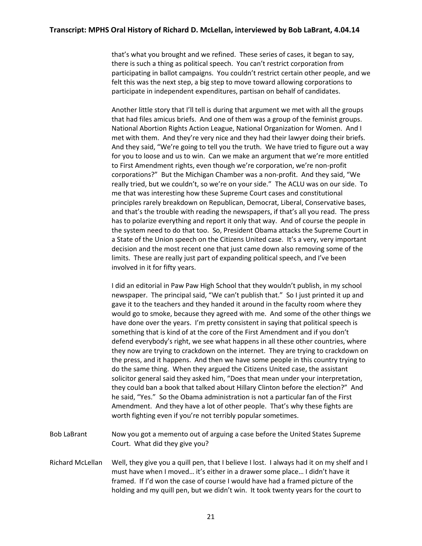that's what you brought and we refined. These series of cases, it began to say, there is such a thing as political speech. You can't restrict corporation from participating in ballot campaigns. You couldn't restrict certain other people, and we felt this was the next step, a big step to move toward allowing corporations to participate in independent expenditures, partisan on behalf of candidates.

Another little story that I'll tell is during that argument we met with all the groups that had files amicus briefs. And one of them was a group of the feminist groups. National Abortion Rights Action League, National Organization for Women. And I met with them. And they're very nice and they had their lawyer doing their briefs. And they said, "We're going to tell you the truth. We have tried to figure out a way for you to loose and us to win. Can we make an argument that we're more entitled to First Amendment rights, even though we're corporation, we're non-profit corporations?" But the Michigan Chamber was a non-profit. And they said, "We really tried, but we couldn't, so we're on your side." The ACLU was on our side. To me that was interesting how these Supreme Court cases and constitutional principles rarely breakdown on Republican, Democrat, Liberal, Conservative bases, and that's the trouble with reading the newspapers, if that's all you read. The press has to polarize everything and report it only that way. And of course the people in the system need to do that too. So, President Obama attacks the Supreme Court in a State of the Union speech on the Citizens United case. It's a very, very important decision and the most recent one that just came down also removing some of the limits. These are really just part of expanding political speech, and I've been involved in it for fifty years.

I did an editorial in Paw Paw High School that they wouldn't publish, in my school newspaper. The principal said, "We can't publish that." So I just printed it up and gave it to the teachers and they handed it around in the faculty room where they would go to smoke, because they agreed with me. And some of the other things we have done over the years. I'm pretty consistent in saying that political speech is something that is kind of at the core of the First Amendment and if you don't defend everybody's right, we see what happens in all these other countries, where they now are trying to crackdown on the internet. They are trying to crackdown on the press, and it happens. And then we have some people in this country trying to do the same thing. When they argued the Citizens United case, the assistant solicitor general said they asked him, "Does that mean under your interpretation, they could ban a book that talked about Hillary Clinton before the election?" And he said, "Yes." So the Obama administration is not a particular fan of the First Amendment. And they have a lot of other people. That's why these fights are worth fighting even if you're not terribly popular sometimes.

- Bob LaBrant Now you got a memento out of arguing a case before the United States Supreme Court. What did they give you?
- Richard McLellan Well, they give you a quill pen, that I believe I lost. I always had it on my shelf and I must have when I moved… it's either in a drawer some place… I didn't have it framed. If I'd won the case of course I would have had a framed picture of the holding and my quill pen, but we didn't win. It took twenty years for the court to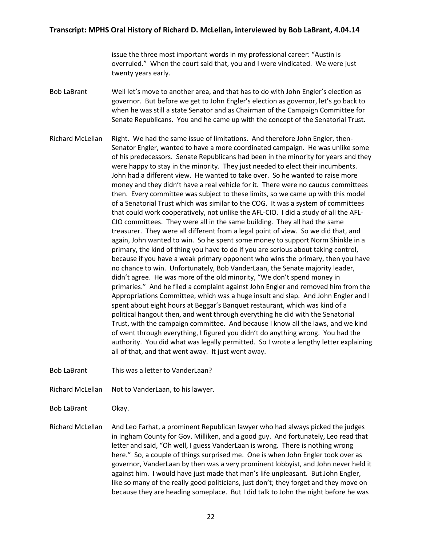issue the three most important words in my professional career: "Austin is overruled." When the court said that, you and I were vindicated. We were just twenty years early.

- Bob LaBrant Well let's move to another area, and that has to do with John Engler's election as governor. But before we get to John Engler's election as governor, let's go back to when he was still a state Senator and as Chairman of the Campaign Committee for Senate Republicans. You and he came up with the concept of the Senatorial Trust.
- Richard McLellan Right. We had the same issue of limitations. And therefore John Engler, then-Senator Engler, wanted to have a more coordinated campaign. He was unlike some of his predecessors. Senate Republicans had been in the minority for years and they were happy to stay in the minority. They just needed to elect their incumbents. John had a different view. He wanted to take over. So he wanted to raise more money and they didn't have a real vehicle for it. There were no caucus committees then. Every committee was subject to these limits, so we came up with this model of a Senatorial Trust which was similar to the COG. It was a system of committees that could work cooperatively, not unlike the AFL-CIO. I did a study of all the AFL-CIO committees. They were all in the same building. They all had the same treasurer. They were all different from a legal point of view. So we did that, and again, John wanted to win. So he spent some money to support Norm Shinkle in a primary, the kind of thing you have to do if you are serious about taking control, because if you have a weak primary opponent who wins the primary, then you have no chance to win. Unfortunately, Bob VanderLaan, the Senate majority leader, didn't agree. He was more of the old minority, "We don't spend money in primaries." And he filed a complaint against John Engler and removed him from the Appropriations Committee, which was a huge insult and slap. And John Engler and I spent about eight hours at Beggar's Banquet restaurant, which was kind of a political hangout then, and went through everything he did with the Senatorial Trust, with the campaign committee. And because I know all the laws, and we kind of went through everything, I figured you didn't do anything wrong. You had the authority. You did what was legally permitted. So I wrote a lengthy letter explaining all of that, and that went away. It just went away.
- Bob LaBrant This was a letter to VanderLaan?
- Richard McLellan Not to VanderLaan, to his lawyer.
- Bob LaBrant Okay.
- Richard McLellan And Leo Farhat, a prominent Republican lawyer who had always picked the judges in Ingham County for Gov. Milliken, and a good guy. And fortunately, Leo read that letter and said, "Oh well, I guess VanderLaan is wrong. There is nothing wrong here." So, a couple of things surprised me. One is when John Engler took over as governor, VanderLaan by then was a very prominent lobbyist, and John never held it against him. I would have just made that man's life unpleasant. But John Engler, like so many of the really good politicians, just don't; they forget and they move on because they are heading someplace. But I did talk to John the night before he was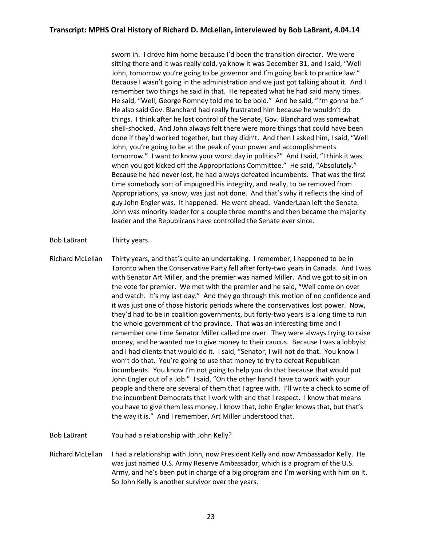sworn in. I drove him home because I'd been the transition director. We were sitting there and it was really cold, ya know it was December 31, and I said, "Well John, tomorrow you're going to be governor and I'm going back to practice law." Because I wasn't going in the administration and we just got talking about it. And I remember two things he said in that. He repeated what he had said many times. He said, "Well, George Romney told me to be bold." And he said, "I'm gonna be." He also said Gov. Blanchard had really frustrated him because he wouldn't do things. I think after he lost control of the Senate, Gov. Blanchard was somewhat shell-shocked. And John always felt there were more things that could have been done if they'd worked together, but they didn't. And then I asked him, I said, "Well John, you're going to be at the peak of your power and accomplishments tomorrow." I want to know your worst day in politics?" And I said, "I think it was when you got kicked off the Appropriations Committee." He said, "Absolutely." Because he had never lost, he had always defeated incumbents. That was the first time somebody sort of impugned his integrity, and really, to be removed from Appropriations, ya know, was just not done. And that's why it reflects the kind of guy John Engler was. It happened. He went ahead. VanderLaan left the Senate. John was minority leader for a couple three months and then became the majority leader and the Republicans have controlled the Senate ever since.

Bob LaBrant Thirty years.

Richard McLellan Thirty years, and that's quite an undertaking. I remember, I happened to be in Toronto when the Conservative Party fell after forty-two years in Canada. And I was with Senator Art Miller, and the premier was named Miller. And we got to sit in on the vote for premier. We met with the premier and he said, "Well come on over and watch. It's my last day." And they go through this motion of no confidence and it was just one of those historic periods where the conservatives lost power.Now, they'd had to be in coalition governments, but forty-two years is a long time to run the whole government of the province. That was an interesting time and I remember one time Senator Miller called me over. They were always trying to raise money, and he wanted me to give money to their caucus. Because I was a lobbyist and I had clients that would do it. I said, "Senator, I will not do that. You know I won't do that. You're going to use that money to try to defeat Republican incumbents. You know I'm not going to help you do that because that would put John Engler out of a Job." I said, "On the other hand I have to work with your people and there are several of them that I agree with. I'll write a check to some of the incumbent Democrats that I work with and that I respect. I know that means you have to give them less money, I know that, John Engler knows that, but that's the way it is." And I remember, Art Miller understood that.

Bob LaBrant You had a relationship with John Kelly?

Richard McLellan I had a relationship with John, now President Kelly and now Ambassador Kelly. He was just named U.S. Army Reserve Ambassador, which is a program of the U.S. Army, and he's been put in charge of a big program and I'm working with him on it. So John Kelly is another survivor over the years.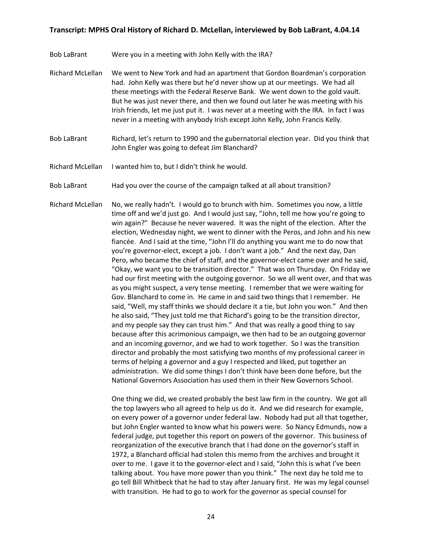- Bob LaBrant Were you in a meeting with John Kelly with the IRA?
- Richard McLellan We went to New York and had an apartment that Gordon Boardman's corporation had. John Kelly was there but he'd never show up at our meetings. We had all these meetings with the Federal Reserve Bank. We went down to the gold vault. But he was just never there, and then we found out later he was meeting with his Irish friends, let me just put it. I was never at a meeting with the IRA. In fact I was never in a meeting with anybody Irish except John Kelly, John Francis Kelly.
- Bob LaBrant Richard, let's return to 1990 and the gubernatorial election year. Did you think that John Engler was going to defeat Jim Blanchard?
- Richard McLellan I wanted him to, but I didn't think he would.
- Bob LaBrant Had you over the course of the campaign talked at all about transition?
- Richard McLellan No, we really hadn't. I would go to brunch with him. Sometimes you now, a little time off and we'd just go. And I would just say, "John, tell me how you're going to win again?" Because he never wavered. It was the night of the election. After the election, Wednesday night, we went to dinner with the Peros, and John and his new fiancée. And I said at the time, "John I'll do anything you want me to do now that you're governor-elect, except a job. I don't want a job." And the next day, Dan Pero, who became the chief of staff, and the governor-elect came over and he said, "Okay, we want you to be transition director." That was on Thursday. On Friday we had our first meeting with the outgoing governor. So we all went over, and that was as you might suspect, a very tense meeting. I remember that we were waiting for Gov. Blanchard to come in. He came in and said two things that I remember. He said, "Well, my staff thinks we should declare it a tie, but John you won." And then he also said, "They just told me that Richard's going to be the transition director, and my people say they can trust him." And that was really a good thing to say because after this acrimonious campaign, we then had to be an outgoing governor and an incoming governor, and we had to work together. So I was the transition director and probably the most satisfying two months of my professional career in terms of helping a governor and a guy I respected and liked, put together an administration. We did some things I don't think have been done before, but the National Governors Association has used them in their New Governors School.

One thing we did, we created probably the best law firm in the country. We got all the top lawyers who all agreed to help us do it. And we did research for example, on every power of a governor under federal law. Nobody had put all that together, but John Engler wanted to know what his powers were. So Nancy Edmunds, now a federal judge, put together this report on powers of the governor. This business of reorganization of the executive branch that I had done on the governor's staff in 1972, a Blanchard official had stolen this memo from the archives and brought it over to me. I gave it to the governor-elect and I said, "John this is what I've been talking about. You have more power than you think." The next day he told me to go tell Bill Whitbeck that he had to stay after January first. He was my legal counsel with transition. He had to go to work for the governor as special counsel for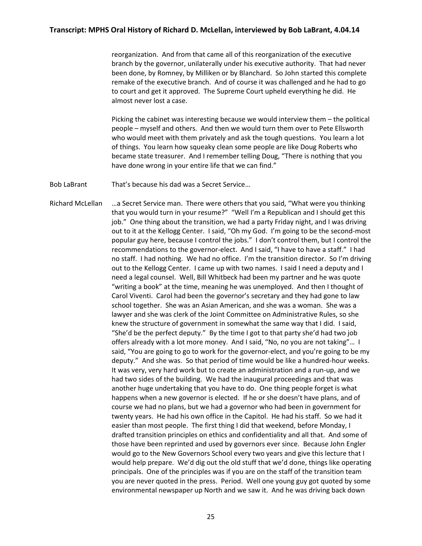reorganization. And from that came all of this reorganization of the executive branch by the governor, unilaterally under his executive authority. That had never been done, by Romney, by Milliken or by Blanchard. So John started this complete remake of the executive branch. And of course it was challenged and he had to go to court and get it approved. The Supreme Court upheld everything he did. He almost never lost a case.

Picking the cabinet was interesting because we would interview them – the political people – myself and others. And then we would turn them over to Pete Ellsworth who would meet with them privately and ask the tough questions. You learn a lot of things. You learn how squeaky clean some people are like Doug Roberts who became state treasurer. And I remember telling Doug, "There is nothing that you have done wrong in your entire life that we can find."

Bob LaBrant That's because his dad was a Secret Service…

Richard McLellan …a Secret Service man. There were others that you said, "What were you thinking that you would turn in your resume?" "Well I'm a Republican and I should get this job." One thing about the transition, we had a party Friday night, and I was driving out to it at the Kellogg Center. I said, "Oh my God. I'm going to be the second-most popular guy here, because I control the jobs." I don't control them, but I control the recommendations to the governor-elect. And I said, "I have to have a staff." I had no staff. I had nothing. We had no office. I'm the transition director. So I'm driving out to the Kellogg Center. I came up with two names. I said I need a deputy and I need a legal counsel. Well, Bill Whitbeck had been my partner and he was quote "writing a book" at the time, meaning he was unemployed. And then I thought of Carol Viventi. Carol had been the governor's secretary and they had gone to law school together. She was an Asian American, and she was a woman. She was a lawyer and she was clerk of the Joint Committee on Administrative Rules, so she knew the structure of government in somewhat the same way that I did. I said, "She'd be the perfect deputy." By the time I got to that party she'd had two job offers already with a lot more money. And I said, "No, no you are not taking"… I said, "You are going to go to work for the governor-elect, and you're going to be my deputy." And she was. So that period of time would be like a hundred-hour weeks. It was very, very hard work but to create an administration and a run-up, and we had two sides of the building. We had the inaugural proceedings and that was another huge undertaking that you have to do. One thing people forget is what happens when a new governor is elected. If he or she doesn't have plans, and of course we had no plans, but we had a governor who had been in government for twenty years. He had his own office in the Capitol. He had his staff. So we had it easier than most people. The first thing I did that weekend, before Monday, I drafted transition principles on ethics and confidentiality and all that. And some of those have been reprinted and used by governors ever since. Because John Engler would go to the New Governors School every two years and give this lecture that I would help prepare. We'd dig out the old stuff that we'd done, things like operating principals. One of the principles was if you are on the staff of the transition team you are never quoted in the press. Period. Well one young guy got quoted by some environmental newspaper up North and we saw it. And he was driving back down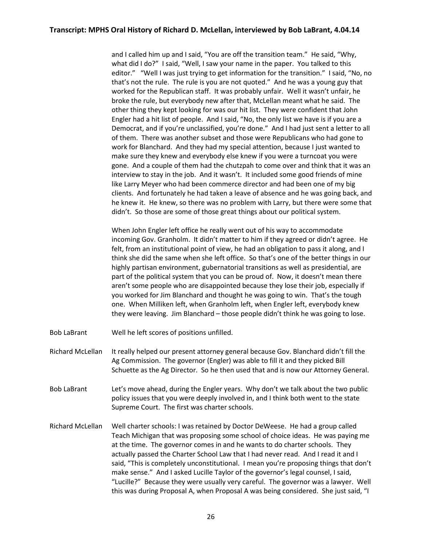and I called him up and I said, "You are off the transition team." He said, "Why, what did I do?" I said, "Well, I saw your name in the paper. You talked to this editor." "Well I was just trying to get information for the transition." I said, "No, no that's not the rule. The rule is you are not quoted." And he was a young guy that worked for the Republican staff. It was probably unfair. Well it wasn't unfair, he broke the rule, but everybody new after that, McLellan meant what he said. The other thing they kept looking for was our hit list. They were confident that John Engler had a hit list of people. And I said, "No, the only list we have is if you are a Democrat, and if you're unclassified, you're done." And I had just sent a letter to all of them. There was another subset and those were Republicans who had gone to work for Blanchard. And they had my special attention, because I just wanted to make sure they knew and everybody else knew if you were a turncoat you were gone. And a couple of them had the chutzpah to come over and think that it was an interview to stay in the job. And it wasn't. It included some good friends of mine like Larry Meyer who had been commerce director and had been one of my big clients. And fortunately he had taken a leave of absence and he was going back, and he knew it. He knew, so there was no problem with Larry, but there were some that didn't. So those are some of those great things about our political system.

When John Engler left office he really went out of his way to accommodate incoming Gov. Granholm. It didn't matter to him if they agreed or didn't agree. He felt, from an institutional point of view, he had an obligation to pass it along, and I think she did the same when she left office. So that's one of the better things in our highly partisan environment, gubernatorial transitions as well as presidential, are part of the political system that you can be proud of. Now, it doesn't mean there aren't some people who are disappointed because they lose their job, especially if you worked for Jim Blanchard and thought he was going to win. That's the tough one. When Milliken left, when Granholm left, when Engler left, everybody knew they were leaving. Jim Blanchard – those people didn't think he was going to lose.

- Bob LaBrant Well he left scores of positions unfilled.
- Richard McLellan It really helped our present attorney general because Gov. Blanchard didn't fill the Ag Commission. The governor (Engler) was able to fill it and they picked Bill Schuette as the Ag Director. So he then used that and is now our Attorney General.
- Bob LaBrant Let's move ahead, during the Engler years. Why don't we talk about the two public policy issues that you were deeply involved in, and I think both went to the state Supreme Court. The first was charter schools.
- Richard McLellan Well charter schools: I was retained by Doctor DeWeese. He had a group called Teach Michigan that was proposing some school of choice ideas. He was paying me at the time. The governor comes in and he wants to do charter schools. They actually passed the Charter School Law that I had never read. And I read it and I said, "This is completely unconstitutional. I mean you're proposing things that don't make sense." And I asked Lucille Taylor of the governor's legal counsel, I said, "Lucille?" Because they were usually very careful. The governor was a lawyer. Well this was during Proposal A, when Proposal A was being considered. She just said, "I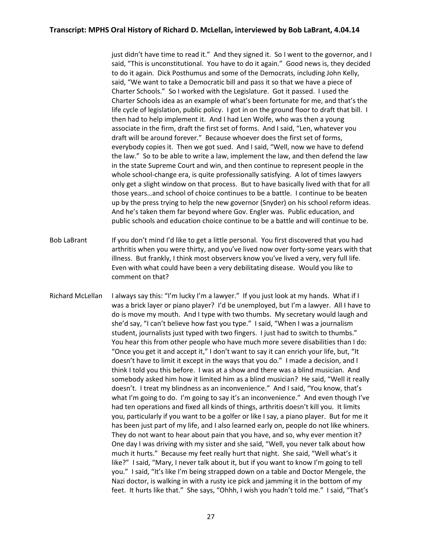just didn't have time to read it." And they signed it. So I went to the governor, and I said, "This is unconstitutional. You have to do it again." Good news is, they decided to do it again. Dick Posthumus and some of the Democrats, including John Kelly, said, "We want to take a Democratic bill and pass it so that we have a piece of Charter Schools." So I worked with the Legislature. Got it passed. I used the Charter Schools idea as an example of what's been fortunate for me, and that's the life cycle of legislation, public policy. I got in on the ground floor to draft that bill. I then had to help implement it. And I had Len Wolfe, who was then a young associate in the firm, draft the first set of forms. And I said, "Len, whatever you draft will be around forever." Because whoever does the first set of forms, everybody copies it. Then we got sued. And I said, "Well, now we have to defend the law." So to be able to write a law, implement the law, and then defend the law in the state Supreme Court and win, and then continue to represent people in the whole school-change era, is quite professionally satisfying. A lot of times lawyers only get a slight window on that process. But to have basically lived with that for all those years…and school of choice continues to be a battle. I continue to be beaten up by the press trying to help the new governor (Snyder) on his school reform ideas. And he's taken them far beyond where Gov. Engler was. Public education, and public schools and education choice continue to be a battle and will continue to be.

Bob LaBrant If you don't mind I'd like to get a little personal. You first discovered that you had arthritis when you were thirty, and you've lived now over forty-some years with that illness. But frankly, I think most observers know you've lived a very, very full life. Even with what could have been a very debilitating disease. Would you like to comment on that?

Richard McLellan I always say this: "I'm lucky I'm a lawyer." If you just look at my hands. What if I was a brick layer or piano player? I'd be unemployed, but I'm a lawyer. All I have to do is move my mouth. And I type with two thumbs. My secretary would laugh and she'd say, "I can't believe how fast you type." I said, "When I was a journalism student, journalists just typed with two fingers. I just had to switch to thumbs." You hear this from other people who have much more severe disabilities than I do: "Once you get it and accept it," I don't want to say it can enrich your life, but, "It doesn't have to limit it except in the ways that you do." I made a decision, and I think I told you this before. I was at a show and there was a blind musician. And somebody asked him how it limited him as a blind musician? He said, "Well it really doesn't. I treat my blindness as an inconvenience." And I said, "You know, that's what I'm going to do. I'm going to say it's an inconvenience." And even though I've had ten operations and fixed all kinds of things, arthritis doesn't kill you. It limits you, particularly if you want to be a golfer or like I say, a piano player. But for me it has been just part of my life, and I also learned early on, people do not like whiners. They do not want to hear about pain that you have, and so, why ever mention it? One day I was driving with my sister and she said, "Well, you never talk about how much it hurts." Because my feet really hurt that night. She said, "Well what's it like?" I said, "Mary, I never talk about it, but if you want to know I'm going to tell you." I said, "It's like I'm being strapped down on a table and Doctor Mengele, the Nazi doctor, is walking in with a rusty ice pick and jamming it in the bottom of my feet. It hurts like that." She says, "Ohhh, I wish you hadn't told me." I said, "That's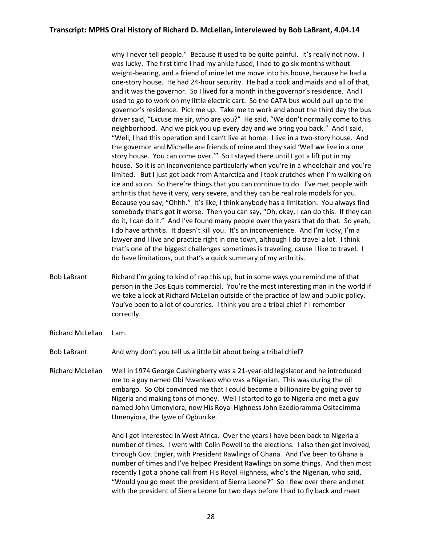why I never tell people." Because it used to be quite painful. It's really not now. I was lucky. The first time I had my ankle fused, I had to go six months without weight-bearing, and a friend of mine let me move into his house, because he had a one-story house. He had 24-hour security. He had a cook and maids and all of that, and it was the governor. So I lived for a month in the governor's residence. And I used to go to work on my little electric cart. So the CATA bus would pull up to the governor's residence. Pick me up. Take me to work and about the third day the bus driver said, "Excuse me sir, who are you?" He said, "We don't normally come to this neighborhood. And we pick you up every day and we bring you back." And I said, "Well, I had this operation and I can't live at home. I live in a two-story house. And the governor and Michelle are friends of mine and they said 'Well we live in a one story house. You can come over.'" So I stayed there until I got a lift put in my house. So it is an inconvenience particularly when you're in a wheelchair and you're limited. But I just got back from Antarctica and I took crutches when I'm walking on ice and so on. So there're things that you can continue to do. I've met people with arthritis that have it very, very severe, and they can be real role models for you. Because you say, "Ohhh." It's like, I think anybody has a limitation. You always find somebody that's got it worse. Then you can say, "Oh, okay, I can do this. If they can do it, I can do it." And I've found many people over the years that do that. So yeah, I do have arthritis. It doesn't kill you. It's an inconvenience. And I'm lucky, I'm a lawyer and I live and practice right in one town, although I do travel a lot. I think that's one of the biggest challenges sometimes is traveling, cause I like to travel. I do have limitations, but that's a quick summary of my arthritis.

- Bob LaBrant Richard I'm going to kind of rap this up, but in some ways you remind me of that person in the Dos Equis commercial. You're the most interesting man in the world if we take a look at Richard McLellan outside of the practice of law and public policy. You've been to a lot of countries. I think you are a tribal chief if I remember correctly.
- Richard McLellan I am.

Bob LaBrant And why don't you tell us a little bit about being a tribal chief?

Richard McLellan Well in 1974 George Cushingberry was a 21-year-old legislator and he introduced me to a guy named Obi Nwankwo who was a Nigerian. This was during the oil embargo. So Obi convinced me that I could become a billionaire by going over to Nigeria and making tons of money. Well I started to go to Nigeria and met a guy named John Umenyiora, now His Royal Highness John Ezedioramma Ositadimma Umenyiora, the Igwe of Ogbunike.

> And I got interested in West Africa. Over the years I have been back to Nigeria a number of times. I went with Colin Powell to the elections. I also then got involved, through Gov. Engler, with President Rawlings of Ghana. And I've been to Ghana a number of times and I've helped President Rawlings on some things. And then most recently I got a phone call from His Royal Highness, who's the Nigerian, who said, "Would you go meet the president of Sierra Leone?" So I flew over there and met with the president of Sierra Leone for two days before I had to fly back and meet